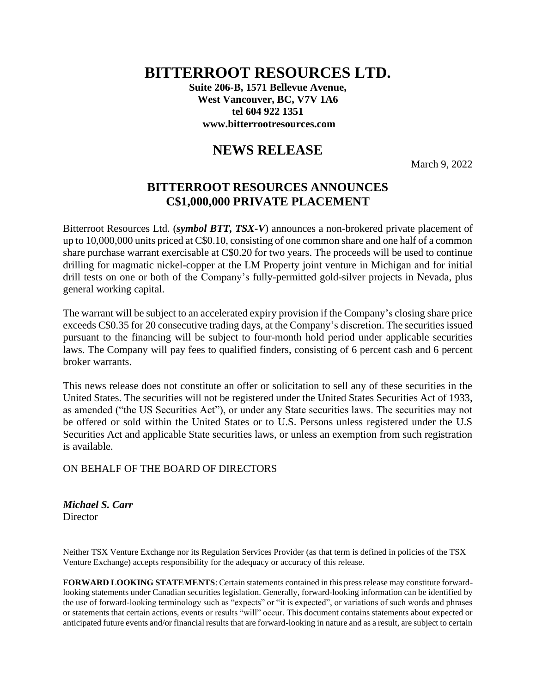## **BITTERROOT RESOURCES LTD.**

**Suite 206-B, 1571 Bellevue Avenue, West Vancouver, BC, V7V 1A6 tel 604 922 1351 www.bitterrootresources.com**

## **NEWS RELEASE**

March 9, 2022

## **BITTERROOT RESOURCES ANNOUNCES C\$1,000,000 PRIVATE PLACEMENT**

Bitterroot Resources Ltd. (*symbol BTT, TSX-V*) announces a non-brokered private placement of up to 10,000,000 units priced at C\$0.10, consisting of one common share and one half of a common share purchase warrant exercisable at C\$0.20 for two years. The proceeds will be used to continue drilling for magmatic nickel-copper at the LM Property joint venture in Michigan and for initial drill tests on one or both of the Company's fully-permitted gold-silver projects in Nevada, plus general working capital.

The warrant will be subject to an accelerated expiry provision if the Company's closing share price exceeds C\$0.35 for 20 consecutive trading days, at the Company's discretion. The securities issued pursuant to the financing will be subject to four-month hold period under applicable securities laws. The Company will pay fees to qualified finders, consisting of 6 percent cash and 6 percent broker warrants.

This news release does not constitute an offer or solicitation to sell any of these securities in the United States. The securities will not be registered under the United States Securities Act of 1933, as amended ("the US Securities Act"), or under any State securities laws. The securities may not be offered or sold within the United States or to U.S. Persons unless registered under the U.S Securities Act and applicable State securities laws, or unless an exemption from such registration is available.

## ON BEHALF OF THE BOARD OF DIRECTORS

*Michael S. Carr* **Director** 

Neither TSX Venture Exchange nor its Regulation Services Provider (as that term is defined in policies of the TSX Venture Exchange) accepts responsibility for the adequacy or accuracy of this release.

**FORWARD LOOKING STATEMENTS**: Certain statements contained in this press release may constitute forwardlooking statements under Canadian securities legislation. Generally, forward-looking information can be identified by the use of forward-looking terminology such as "expects" or "it is expected", or variations of such words and phrases or statements that certain actions, events or results "will" occur. This document contains statements about expected or anticipated future events and/or financial results that are forward-looking in nature and as a result, are subject to certain